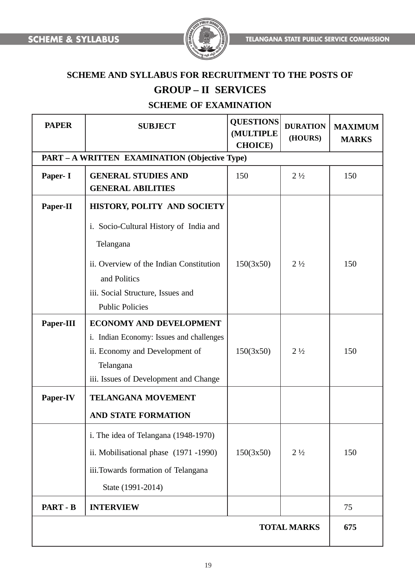

# **SCHEME AND SYLLABUS FOR RECRUITMENT TO THE POSTS OF**

# **GROUP – II SERVICES**

# **SCHEME OF EXAMINATION**

| <b>PAPER</b>                                         | <b>SUBJECT</b>                                                                                                                                                     | <b>QUESTIONS</b><br>(MULTIPLE<br><b>CHOICE</b> ) | <b>DURATION</b><br>(HOURS) | <b>MAXIMUM</b><br><b>MARKS</b> |
|------------------------------------------------------|--------------------------------------------------------------------------------------------------------------------------------------------------------------------|--------------------------------------------------|----------------------------|--------------------------------|
| <b>PART – A WRITTEN EXAMINATION (Objective Type)</b> |                                                                                                                                                                    |                                                  |                            |                                |
| Paper- I                                             | <b>GENERAL STUDIES AND</b><br><b>GENERAL ABILITIES</b>                                                                                                             | 150                                              | $2\frac{1}{2}$             | 150                            |
| Paper-II                                             | HISTORY, POLITY AND SOCIETY                                                                                                                                        |                                                  |                            |                                |
|                                                      | i. Socio-Cultural History of India and<br>Telangana<br>ii. Overview of the Indian Constitution<br>and Politics                                                     | 150(3x50)                                        | $2\frac{1}{2}$             | 150                            |
|                                                      | iii. Social Structure, Issues and<br><b>Public Policies</b>                                                                                                        |                                                  |                            |                                |
| Paper-III                                            | <b>ECONOMY AND DEVELOPMENT</b><br>i. Indian Economy: Issues and challenges<br>ii. Economy and Development of<br>Telangana<br>iii. Issues of Development and Change | 150(3x50)                                        | $2\frac{1}{2}$             | 150                            |
| Paper-IV                                             | <b>TELANGANA MOVEMENT</b>                                                                                                                                          |                                                  |                            |                                |
|                                                      | <b>AND STATE FORMATION</b>                                                                                                                                         |                                                  |                            |                                |
|                                                      | i. The idea of Telangana (1948-1970)<br>ii. Mobilisational phase (1971-1990)<br>iii.Towards formation of Telangana<br>State (1991-2014)                            | 150(3x50)                                        | $2\frac{1}{2}$             | 150                            |
| <b>PART - B</b>                                      | <b>INTERVIEW</b>                                                                                                                                                   |                                                  |                            | 75                             |
| <b>TOTAL MARKS</b>                                   |                                                                                                                                                                    |                                                  |                            | 675                            |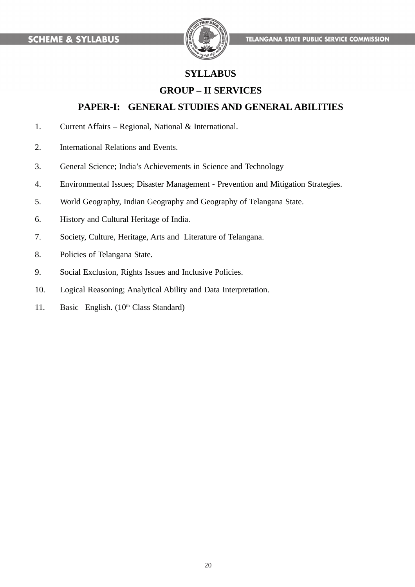

# **SYLLABUS**

# **GROUP – II SERVICES**

### **PAPER-I: GENERAL STUDIES AND GENERAL ABILITIES**

- 1. Current Affairs Regional, National & International.
- 2. International Relations and Events.
- 3. General Science; India's Achievements in Science and Technology
- 4. Environmental Issues; Disaster Management Prevention and Mitigation Strategies.
- 5. World Geography, Indian Geography and Geography of Telangana State.
- 6. History and Cultural Heritage of India.
- 7. Society, Culture, Heritage, Arts and Literature of Telangana.
- 8. Policies of Telangana State.
- 9. Social Exclusion, Rights Issues and Inclusive Policies.
- 10. Logical Reasoning; Analytical Ability and Data Interpretation.
- 11. Basic English. (10<sup>th</sup> Class Standard)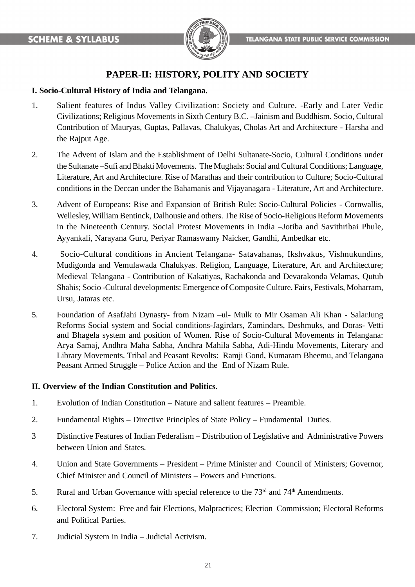

# **PAPER-II: HISTORY, POLITY AND SOCIETY**

### **I. Socio-Cultural History of India and Telangana.**

- 1. Salient features of Indus Valley Civilization: Society and Culture. -Early and Later Vedic Civilizations; Religious Movements in Sixth Century B.C. –Jainism and Buddhism. Socio, Cultural Contribution of Mauryas, Guptas, Pallavas, Chalukyas, Cholas Art and Architecture - Harsha and the Rajput Age.
- 2. The Advent of Islam and the Establishment of Delhi Sultanate-Socio, Cultural Conditions under the Sultanate –Sufi and Bhakti Movements. The Mughals: Social and Cultural Conditions; Language, Literature, Art and Architecture. Rise of Marathas and their contribution to Culture; Socio-Cultural conditions in the Deccan under the Bahamanis and Vijayanagara - Literature, Art and Architecture.
- 3. Advent of Europeans: Rise and Expansion of British Rule: Socio-Cultural Policies Cornwallis, Wellesley, William Bentinck, Dalhousie and others. The Rise of Socio-Religious Reform Movements in the Nineteenth Century. Social Protest Movements in India –Jotiba and Savithribai Phule, Ayyankali, Narayana Guru, Periyar Ramaswamy Naicker, Gandhi, Ambedkar etc.
- 4. Socio-Cultural conditions in Ancient Telangana- Satavahanas, Ikshvakus, Vishnukundins, Mudigonda and Vemulawada Chalukyas. Religion, Language, Literature, Art and Architecture; Medieval Telangana - Contribution of Kakatiyas, Rachakonda and Devarakonda Velamas, Qutub Shahis; Socio -Cultural developments: Emergence of Composite Culture. Fairs, Festivals, Moharram, Ursu, Jataras etc.
- 5. Foundation of AsafJahi Dynasty- from Nizam –ul- Mulk to Mir Osaman Ali Khan SalarJung Reforms Social system and Social conditions-Jagirdars, Zamindars, Deshmuks, and Doras- Vetti and Bhagela system and position of Women. Rise of Socio-Cultural Movements in Telangana: Arya Samaj, Andhra Maha Sabha, Andhra Mahila Sabha, Adi-Hindu Movements, Literary and Library Movements. Tribal and Peasant Revolts: Ramji Gond, Kumaram Bheemu, and Telangana Peasant Armed Struggle – Police Action and the End of Nizam Rule.

#### **II. Overview of the Indian Constitution and Politics.**

- 1. Evolution of Indian Constitution Nature and salient features Preamble.
- 2. Fundamental Rights Directive Principles of State Policy Fundamental Duties.
- 3 Distinctive Features of Indian Federalism Distribution of Legislative and Administrative Powers between Union and States.
- 4. Union and State Governments President Prime Minister and Council of Ministers; Governor, Chief Minister and Council of Ministers – Powers and Functions.
- 5. Rural and Urban Governance with special reference to the  $73<sup>rd</sup>$  and  $74<sup>th</sup>$  Amendments.
- 6. Electoral System: Free and fair Elections, Malpractices; Election Commission; Electoral Reforms and Political Parties.
- 7. Judicial System in India Judicial Activism.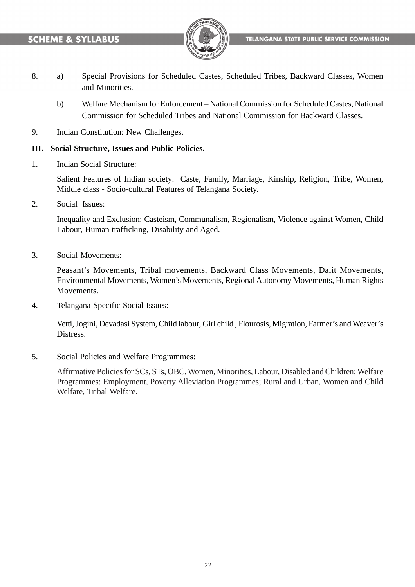

- 8. a) Special Provisions for Scheduled Castes, Scheduled Tribes, Backward Classes, Women and Minorities.
	- b) Welfare Mechanism for Enforcement National Commission for Scheduled Castes, National Commission for Scheduled Tribes and National Commission for Backward Classes.
- 9. Indian Constitution: New Challenges.

### **III. Social Structure, Issues and Public Policies.**

1. Indian Social Structure:

Salient Features of Indian society: Caste, Family, Marriage, Kinship, Religion, Tribe, Women, Middle class - Socio-cultural Features of Telangana Society.

2. Social Issues:

Inequality and Exclusion: Casteism, Communalism, Regionalism, Violence against Women, Child Labour, Human trafficking, Disability and Aged.

3. Social Movements:

Peasant's Movements, Tribal movements, Backward Class Movements, Dalit Movements, Environmental Movements, Women's Movements, Regional Autonomy Movements, Human Rights Movements.

4. Telangana Specific Social Issues:

Vetti, Jogini, Devadasi System, Child labour, Girl child , Flourosis, Migration, Farmer's and Weaver's Distress.

5. Social Policies and Welfare Programmes:

Affirmative Policies for SCs, STs, OBC, Women, Minorities, Labour, Disabled and Children; Welfare Programmes: Employment, Poverty Alleviation Programmes; Rural and Urban, Women and Child Welfare, Tribal Welfare.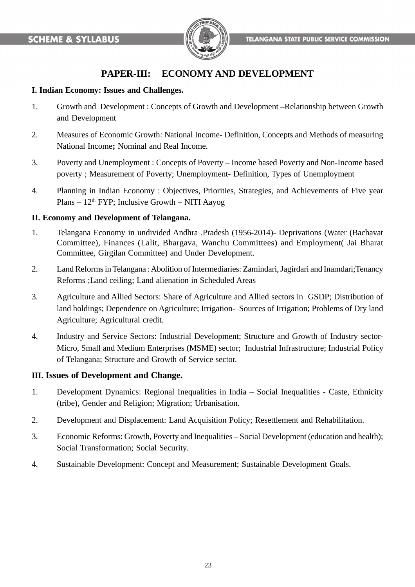

# **PAPER-III: ECONOMY AND DEVELOPMENT**

### **I. Indian Economy: Issues and Challenges***.*

- 1. Growth and Development : Concepts of Growth and Development –Relationship between Growth and Development
- 2. Measures of Economic Growth: National Income- Definition, Concepts and Methods of measuring National Income**;** Nominal and Real Income.
- 3. Poverty and Unemployment : Concepts of Poverty Income based Poverty and Non-Income based poverty ; Measurement of Poverty; Unemployment- Definition, Types of Unemployment
- 4. Planning in Indian Economy : Objectives, Priorities, Strategies, and Achievements of Five year Plans –  $12<sup>th</sup> FYP$ ; Inclusive Growth – NITI Aayog

### **II. Economy and Development of Telangana.**

- 1. Telangana Economy in undivided Andhra .Pradesh (1956-2014)- Deprivations (Water (Bachavat Committee), Finances (Lalit, Bhargava, Wanchu Committees) and Employment( Jai Bharat Committee, Girgilan Committee) and Under Development.
- 2. Land Reforms in Telangana : Abolition of Intermediaries: Zamindari, Jagirdari and Inamdari;Tenancy Reforms ;Land ceiling; Land alienation in Scheduled Areas
- 3. Agriculture and Allied Sectors: Share of Agriculture and Allied sectors in GSDP; Distribution of land holdings; Dependence on Agriculture; Irrigation- Sources of Irrigation; Problems of Dry land Agriculture; Agricultural credit.
- 4. Industry and Service Sectors: Industrial Development; Structure and Growth of Industry sector-Micro, Small and Medium Enterprises (MSME) sector; Industrial Infrastructure; Industrial Policy of Telangana; Structure and Growth of Service sector.

### **III. Issues of Development and Change.**

- 1. Development Dynamics: Regional Inequalities in India Social Inequalities Caste, Ethnicity (tribe), Gender and Religion; Migration; Urbanisation.
- 2. Development and Displacement: Land Acquisition Policy; Resettlement and Rehabilitation.
- 3. Economic Reforms: Growth, Poverty and Inequalities Social Development (education and health); Social Transformation; Social Security.
- 4. Sustainable Development: Concept and Measurement; Sustainable Development Goals.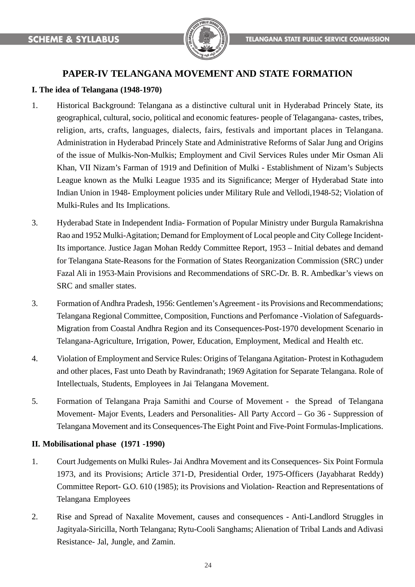

# **PAPER-IV TELANGANA MOVEMENT AND STATE FORMATION**

### **I. The idea of Telangana (1948-1970)**

- 1. Historical Background: Telangana as a distinctive cultural unit in Hyderabad Princely State, its geographical, cultural, socio, political and economic features- people of Telagangana- castes, tribes, religion, arts, crafts, languages, dialects, fairs, festivals and important places in Telangana. Administration in Hyderabad Princely State and Administrative Reforms of Salar Jung and Origins of the issue of Mulkis-Non-Mulkis; Employment and Civil Services Rules under Mir Osman Ali Khan, VII Nizam's Farman of 1919 and Definition of Mulki - Establishment of Nizam's Subjects League known as the Mulki League 1935 and its Significance; Merger of Hyderabad State into Indian Union in 1948- Employment policies under Military Rule and Vellodi,1948-52; Violation of Mulki-Rules and Its Implications.
- 3. Hyderabad State in Independent India- Formation of Popular Ministry under Burgula Ramakrishna Rao and 1952 Mulki-Agitation; Demand for Employment of Local people and City College Incident-Its importance. Justice Jagan Mohan Reddy Committee Report, 1953 – Initial debates and demand for Telangana State-Reasons for the Formation of States Reorganization Commission (SRC) under Fazal Ali in 1953-Main Provisions and Recommendations of SRC-Dr. B. R. Ambedkar's views on SRC and smaller states.
- 3. Formation of Andhra Pradesh, 1956: Gentlemen's Agreement its Provisions and Recommendations; Telangana Regional Committee, Composition, Functions and Perfomance -Violation of Safeguards-Migration from Coastal Andhra Region and its Consequences-Post-1970 development Scenario in Telangana-Agriculture, Irrigation, Power, Education, Employment, Medical and Health etc.
- 4. Violation of Employment and Service Rules: Origins of Telangana Agitation- Protest in Kothagudem and other places, Fast unto Death by Ravindranath; 1969 Agitation for Separate Telangana. Role of Intellectuals, Students, Employees in Jai Telangana Movement.
- 5. Formation of Telangana Praja Samithi and Course of Movement the Spread of Telangana Movement- Major Events, Leaders and Personalities- All Party Accord – Go 36 - Suppression of Telangana Movement and its Consequences-The Eight Point and Five-Point Formulas-Implications.

### **II. Mobilisational phase (1971 -1990)**

- 1. Court Judgements on Mulki Rules- Jai Andhra Movement and its Consequences- Six Point Formula 1973, and its Provisions; Article 371-D, Presidential Order, 1975-Officers (Jayabharat Reddy) Committee Report- G.O. 610 (1985); its Provisions and Violation- Reaction and Representations of Telangana Employees
- 2. Rise and Spread of Naxalite Movement, causes and consequences Anti-Landlord Struggles in Jagityala-Siricilla, North Telangana; Rytu-Cooli Sanghams; Alienation of Tribal Lands and Adivasi Resistance- Jal, Jungle, and Zamin.